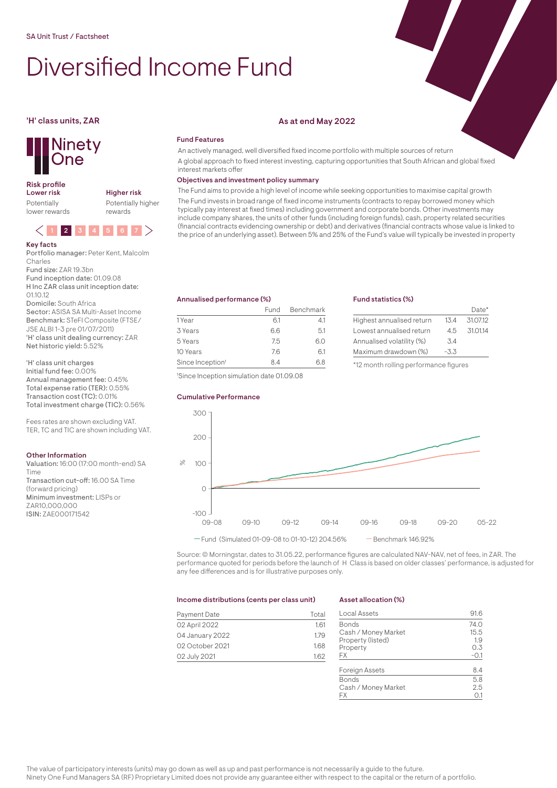# Diversified Income Fund

## **Ninety** One

## Risk profile<br>Lower risk

Potentially lower rewards Lower risk Higher risk Potentially higher

rewards



#### Portfolio manager: Peter Kent, Malcolm Charles

Fund size: ZAR 19.3bn Fund inception date: 01.09.08 H Inc ZAR class unit inception date:  $0110.12$ 

Domicile: South Africa

Sector: ASISA SA Multi-Asset Income Benchmark: STeFI Composite (FTSE/ JSE ALBI 1-3 pre 01/07/2011) 'H' class unit dealing currency: ZAR Net historic yield: 5.52%

'H' class unit charges Initial fund fee: 0.00%

Annual management fee: 0.45% Total expense ratio (TER): 0.55% Transaction cost (TC): 0.01% Total investment charge (TIC): 0.56%

Fees rates are shown excluding VAT. TER, TC and TIC are shown including VAT.

#### Other Information

Valuation: 16:00 (17:00 month-end) SA Time Transaction cut-off: 16.00 SA Time (forward pricing) Minimum investment: LISPs or ZAR10,000,000 ISIN: ZAE000171542

### 'H' class units, ZAR As at end May 2022

#### Fund Features

An actively managed, well diversified fixed income portfolio with multiple sources of return A global approach to fixed interest investing, capturing opportunities that South African and global fixed interest markets offer

#### Objectives and investment policy summary

The Fund aims to provide a high level of income while seeking opportunities to maximise capital growth The Fund invests in broad range of fixed income instruments (contracts to repay borrowed money which typically pay interest at fixed times) including government and corporate bonds. Other investments may include company shares, the units of other funds (including foreign funds), cash, property related securities (financial contracts evidencing ownership or debt) and derivatives (financial contracts whose value is linked to the price of an underlying asset). Between 5% and 25% of the Fund's value will typically be invested in property

Fund statistics (%)

Highest annualised return 13.4 31.07.12 Lowest annualised return 4.5 31.01.14

Annualised volatility (%) 3.4 Maximum drawdown (%) -3.3 \*12 month rolling performance figures

Date\*

#### Annualised performance (%)

|                              | Fund | Benchmark |
|------------------------------|------|-----------|
| 1 Year                       | 6.1  | 41        |
| 3 Years                      | 66   | 5.1       |
| 5 Years                      | 75   | 6.0       |
| 10 Years                     | 76   | 61        |
| Since Inception <sup>t</sup> | 84   | 6 R       |

† Since Inception simulation date 01.09.08

#### Cumulative Performance

## 09-08 09-10 09-12 09-14 09-16 09-18 09-20 05-22  $-100$ .  $\overline{0}$  $100$ 200 300  $-$  Fund (Simulated 01-09-08 to 01-10-12) 204.56% - Benchmark 146.92%  $\mathcal{S}$

Source: © Morningstar, dates to 31.05.22, performance figures are calculated NAV-NAV, net of fees, in ZAR. The performance quoted for periods before the launch of H Class is based on older classes' performance, is adjusted for any fee differences and is for illustrative purposes only.

#### Income distributions (cents per class unit)

| Payment Date    | Total |
|-----------------|-------|
| 02 April 2022   | 1.61  |
| 04 January 2022 | 1.79  |
| 02 October 2021 | 1.68  |
| 02 July 2021    | 1.62  |

#### Asset allocation (%)

| Local Assets          | 916    |
|-----------------------|--------|
| <b>Bonds</b>          | 74.0   |
| Cash / Money Market   | 15.5   |
| Property (listed)     | 1.9    |
| Property              | 0.3    |
| FХ                    | $-0.1$ |
| <b>Foreign Assets</b> | 84     |
| <b>Bonds</b>          | 5.8    |
| Cash / Money Market   | 2.5    |
| FХ                    |        |

The value of participatory interests (units) may go down as well as up and past performance is not necessarily a guide to the future. Ninety One Fund Managers SA (RF) Proprietary Limited does not provide any guarantee either with respect to the capital or the return of a portfolio.